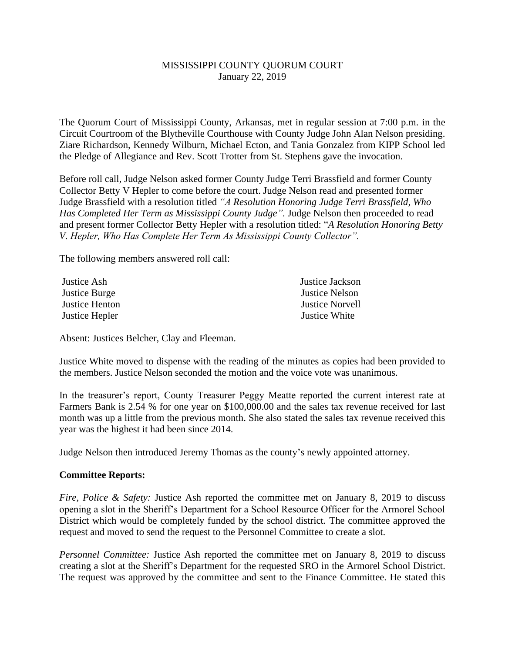## MISSISSIPPI COUNTY QUORUM COURT January 22, 2019

The Quorum Court of Mississippi County, Arkansas, met in regular session at 7:00 p.m. in the Circuit Courtroom of the Blytheville Courthouse with County Judge John Alan Nelson presiding. Ziare Richardson, Kennedy Wilburn, Michael Ecton, and Tania Gonzalez from KIPP School led the Pledge of Allegiance and Rev. Scott Trotter from St. Stephens gave the invocation.

Before roll call, Judge Nelson asked former County Judge Terri Brassfield and former County Collector Betty V Hepler to come before the court. Judge Nelson read and presented former Judge Brassfield with a resolution titled *"A Resolution Honoring Judge Terri Brassfield, Who Has Completed Her Term as Mississippi County Judge".* Judge Nelson then proceeded to read and present former Collector Betty Hepler with a resolution titled: "*A Resolution Honoring Betty V. Hepler, Who Has Complete Her Term As Mississippi County Collector".*

The following members answered roll call:

| Justice Ash    | Justice Jackson        |
|----------------|------------------------|
| Justice Burge  | Justice Nelson         |
| Justice Henton | <b>Justice Norvell</b> |
| Justice Hepler | Justice White          |

Absent: Justices Belcher, Clay and Fleeman.

Justice White moved to dispense with the reading of the minutes as copies had been provided to the members. Justice Nelson seconded the motion and the voice vote was unanimous.

In the treasurer's report, County Treasurer Peggy Meatte reported the current interest rate at Farmers Bank is 2.54 % for one year on \$100,000.00 and the sales tax revenue received for last month was up a little from the previous month. She also stated the sales tax revenue received this year was the highest it had been since 2014.

Judge Nelson then introduced Jeremy Thomas as the county's newly appointed attorney.

## **Committee Reports:**

*Fire, Police & Safety:* Justice Ash reported the committee met on January 8, 2019 to discuss opening a slot in the Sheriff's Department for a School Resource Officer for the Armorel School District which would be completely funded by the school district. The committee approved the request and moved to send the request to the Personnel Committee to create a slot.

*Personnel Committee:* Justice Ash reported the committee met on January 8, 2019 to discuss creating a slot at the Sheriff's Department for the requested SRO in the Armorel School District. The request was approved by the committee and sent to the Finance Committee. He stated this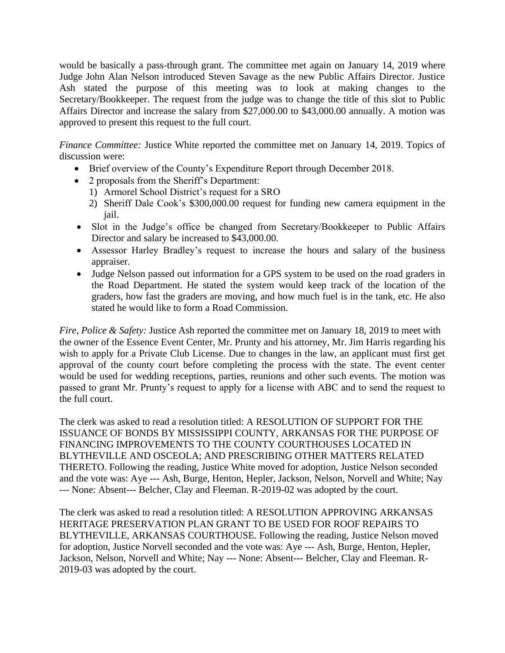would be basically a pass-through grant. The committee met again on January 14, 2019 where Judge John Alan Nelson introduced Steven Savage as the new Public Affairs Director. Justice Ash stated the purpose of this meeting was to look at making changes to the Secretary/Bookkeeper. The request from the judge was to change the title of this slot to Public Affairs Director and increase the salary from \$27,000.00 to \$43,000.00 annually. A motion was approved to present this request to the full court.

*Finance Committee:* Justice White reported the committee met on January 14, 2019. Topics of discussion were:

- Brief overview of the County's Expenditure Report through December 2018.
- 2 proposals from the Sheriff's Department:
	- 1) Armorel School District's request for a SRO
	- 2) Sheriff Dale Cook's \$300,000.00 request for funding new camera equipment in the jail.
- Slot in the Judge's office be changed from Secretary/Bookkeeper to Public Affairs Director and salary be increased to \$43,000.00.
- Assessor Harley Bradley's request to increase the hours and salary of the business appraiser.
- Judge Nelson passed out information for a GPS system to be used on the road graders in the Road Department. He stated the system would keep track of the location of the graders, how fast the graders are moving, and how much fuel is in the tank, etc. He also stated he would like to form a Road Commission.

*Fire, Police & Safety:* Justice Ash reported the committee met on January 18, 2019 to meet with the owner of the Essence Event Center, Mr. Prunty and his attorney, Mr. Jim Harris regarding his wish to apply for a Private Club License. Due to changes in the law, an applicant must first get approval of the county court before completing the process with the state. The event center would be used for wedding receptions, parties, reunions and other such events. The motion was passed to grant Mr. Prunty's request to apply for a license with ABC and to send the request to the full court.

The clerk was asked to read a resolution titled: A RESOLUTION OF SUPPORT FOR THE ISSUANCE OF BONDS BY MISSISSIPPI COUNTY, ARKANSAS FOR THE PURPOSE OF FINANCING IMPROVEMENTS TO THE COUNTY COURTHOUSES LOCATED IN BLYTHEVILLE AND OSCEOLA; AND PRESCRIBING OTHER MATTERS RELATED THERETO. Following the reading, Justice White moved for adoption, Justice Nelson seconded and the vote was: Aye --- Ash, Burge, Henton, Hepler, Jackson, Nelson, Norvell and White; Nay --- None: Absent--- Belcher, Clay and Fleeman. R-2019-02 was adopted by the court.

The clerk was asked to read a resolution titled: A RESOLUTION APPROVING ARKANSAS HERITAGE PRESERVATION PLAN GRANT TO BE USED FOR ROOF REPAIRS TO BLYTHEVILLE, ARKANSAS COURTHOUSE. Following the reading, Justice Nelson moved for adoption, Justice Norvell seconded and the vote was: Aye --- Ash, Burge, Henton, Hepler, Jackson, Nelson, Norvell and White; Nay --- None: Absent--- Belcher, Clay and Fleeman. R-2019-03 was adopted by the court.